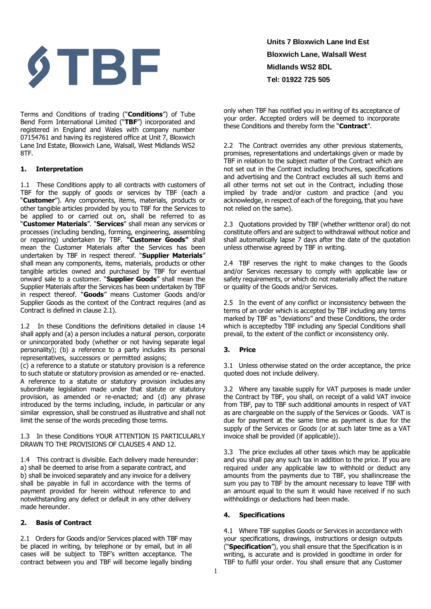

Terms and Conditions of trading ("**Conditions**") of Tube Bend Form International Limited ("**TBF**") incorporated and registered in England and Wales with company number 07154761 and having its registered office at Unit 7, Bloxwich Lane Ind Estate, Bloxwich Lane, Walsall, West Midlands WS2 8TF.

#### **1. Interpretation**

1.1 These Conditions apply to all contracts with customers of TBF for the supply of goods or services by TBF (each a "**Customer**"). Any components, items, materials, products or other tangible articles provided by you to TBF for the Services to be applied to or carried out on, shall be referred to as "**Customer Materials**". "**Services**" shall mean any services or processes (including bending, forming, engineering, assembling or repairing) undertaken by TBF. **"Customer Goods"** shall mean the Customer Materials after the Services has been undertaken by TBF in respect thereof. "**Supplier Materials**" shall mean any components, items, materials, products or other tangible articles owned and purchased by TBF for eventual onward sale to a customer. "**Supplier Goods**" shall mean the Supplier Materials after the Services has been undertaken by TBF in respect thereof. "**Goods**" means Customer Goods and/or Supplier Goods as the context of the Contract requires (and as Contract is defined in clause 2.1).

1.2 In these Conditions the definitions detailed in clause 14 shall apply and (a) a person includes a natural person, corporate or unincorporated body (whether or not having separate legal personality); (b) a reference to a party includes its personal representatives, successors or permitted assigns;

(c) a reference to a statute or statutory provision is a reference to such statute or statutory provision as amended or re- enacted. A reference to a statute or statutory provision includes any subordinate legislation made under that statute or statutory provision, as amended or re-enacted; and (d) any phrase introduced by the terms including, include, in particular or any similar expression, shall be construed as illustrative and shall not limit the sense of the words preceding those terms.

1.3 In these Conditions YOUR ATTENTION IS PARTICULARLY DRAWN TO THE PROVISIONS OF CLAUSES 4 AND 12.

1.4 This contract is divisible. Each delivery made hereunder: a) shall be deemed to arise from a separate contract, and b) shall be invoiced separately and any invoice for a delivery shall be payable in full in accordance with the terms of payment provided for herein without reference to and notwithstanding any defect or default in any other delivery made hereunder.

#### **2. Basis of Contract**

2.1 Orders for Goods and/or Services placed with TBF may be placed in writing, by telephone or by email, but in all cases will be subject to TBF's written acceptance. The contract between you and TBF will become legally binding

**Units 7 Bloxwich Lane Ind Est Bloxwich Lane, Walsall West Midlands WS2 8DL Tel: 01922 725 505** 

only when TBF has notified you in writing of its acceptance of your order. Accepted orders will be deemed to incorporate these Conditions and thereby form the "**Contract**".

2.2 The Contract overrides any other previous statements, promises, representations and undertakings given or made by TBF in relation to the subject matter of the Contract which are not set out in the Contract including brochures, specifications and advertising and the Contract excludes all such items and all other terms not set out in the Contract, including those implied by trade and/or custom and practice (and you acknowledge, in respect of each of the foregoing, that you have not relied on the same).

2.3 Quotations provided by TBF (whether writtenor oral) do not constitute offers and are subject to withdrawal without notice and shall automatically lapse 7 days after the date of the quotation unless otherwise agreed by TBF in writing.

2.4 TBF reserves the right to make changes to the Goods and/or Services necessary to comply with applicable law or safety requirements, or which do not materially affect the nature or quality of the Goods and/or Services.

2.5 In the event of any conflict or inconsistency between the terms of an order which is accepted by TBF including any terms marked by TBF as "deviations" and these Conditions, the order which is accepted by TBF including any Special Conditions shall prevail, to the extent of the conflict or inconsistency only.

#### **3. Price**

3.1 Unless otherwise stated on the order acceptance, the price quoted does not include delivery.

3.2 Where any taxable supply for VAT purposes is made under the Contract by TBF, you shall, on receipt of a valid VAT invoice from TBF, pay to TBF such additional amounts in respect of VAT as are chargeable on the supply of the Services or Goods. VAT is due for payment at the same time as payment is due for the supply of the Services or Goods (or at such later time as a VAT invoice shall be provided (if applicable)).

3.3 The price excludes all other taxes which may be applicable and you shall pay any such tax in addition to the price. If you are required under any applicable law to withhold or deduct any amounts from the payments due to TBF, you shallincrease the sum you pay to TBF by the amount necessary to leave TBF with an amount equal to the sum it would have received if no such withholdings or deductions had been made.

#### **4. Specifications**

4.1 Where TBF supplies Goods or Services in accordance with your specifications, drawings, instructions or design outputs ("**Specification**"), you shall ensure that the Specification is in writing, is accurate and is provided in good time in order for TBF to fulfil your order. You shall ensure that any Customer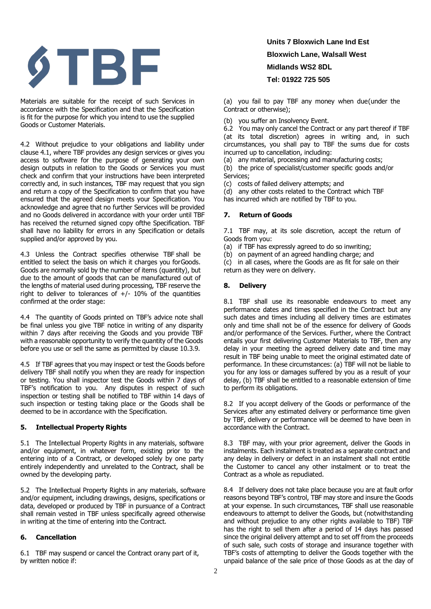

Materials are suitable for the receipt of such Services in accordance with the Specification and that the Specification is fit for the purpose for which you intend to use the supplied Goods or Customer Materials.

4.2 Without prejudice to your obligations and liability under clause 4.1, where TBF provides any design services or gives you access to software for the purpose of generating your own design outputs in relation to the Goods or Services you must check and confirm that your instructions have been interpreted correctly and, in such instances, TBF may request that you sign and return a copy of the Specification to confirm that you have ensured that the agreed design meets your Specification. You acknowledge and agree that no further Services will be provided and no Goods delivered in accordance with your order until TBF has received the returned signed copy of the Specification. TBF shall have no liability for errors in any Specification or details supplied and/or approved by you.

4.3 Unless the Contract specifies otherwise TBF shall be entitled to select the basis on which it charges you for Goods. Goods are normally sold by the number of items (quantity), but due to the amount of goods that can be manufactured out of the lengths of material used during processing, TBF reserve the right to deliver to tolerances of  $+/-$  10% of the quantities confirmed at the order stage:

4.4 The quantity of Goods printed on TBF's advice note shall be final unless you give TBF notice in writing of any disparity within 7 days after receiving the Goods and you provide TBF with a reasonable opportunity to verify the quantity of the Goods before you use or sell the same as permitted by clause 10.3.9.

4.5 If TBF agrees that you may inspect or test the Goods before delivery TBF shall notify you when they are ready for inspection or testing. You shall inspector test the Goods within 7 days of TBF's notification to you. Any disputes in respect of such inspection or testing shall be notified to TBF within 14 days of such inspection or testing taking place or the Goods shall be deemed to be in accordance with the Specification.

#### **5. Intellectual Property Rights**

5.1 The Intellectual Property Rights in any materials, software and/or equipment, in whatever form, existing prior to the entering into of a Contract, or developed solely by one party entirely independently and unrelated to the Contract, shall be owned by the developing party.

5.2 The Intellectual Property Rights in any materials, software and/or equipment, including drawings, designs, specifications or data, developed or produced by TBF in pursuance of a Contract shall remain vested in TBF unless specifically agreed otherwise in writing at the time of entering into the Contract.

#### **6. Cancellation**

6.1 TBF may suspend or cancel the Contract or any part of it, by written notice if:

## **Units 7 Bloxwich Lane Ind Est Bloxwich Lane, Walsall West Midlands WS2 8DL Tel: 01922 725 505**

(a) you fail to pay TBF any money when due (under the Contract or otherwise);

(b) you suffer an Insolvency Event.

6.2 You may only cancel the Contract or any part thereof if TBF (at its total discretion) agrees in writing and, in such circumstances, you shall pay to TBF the sums due for costs incurred up to cancellation, including:

(a) any material, processing and manufacturing costs;

(b) the price of specialist/customer specific goods and/or Services;

(c) costs of failed delivery attempts; and

(d) any other costs related to the Contract which TBF

has incurred which are notified by TBF to you.

## **7. Return of Goods**

7.1 TBF may, at its sole discretion, accept the return of Goods from you:

- (a) if TBF has expressly agreed to do so inwriting;
- (b) on payment of an agreed handling charge; and

(c) in all cases, where the Goods are as fit for sale on their return as they were on delivery.

### **8. Delivery**

8.1 TBF shall use its reasonable endeavours to meet any performance dates and times specified in the Contract but any such dates and times including all delivery times are estimates only and time shall not be of the essence for delivery of Goods and/or performance of the Services. Further, where the Contract entails your first delivering Customer Materials to TBF, then any delay in your meeting the agreed delivery date and time may result in TBF being unable to meet the original estimated date of performance. In these circumstances: (a) TBF will not be liable to you for any loss or damages suffered by you as a result of your delay, (b) TBF shall be entitled to a reasonable extension of time to perform its obligations.

8.2 If you accept delivery of the Goods or performance of the Services after any estimated delivery or performance time given by TBF, delivery or performance will be deemed to have been in accordance with the Contract.

8.3 TBF may, with your prior agreement, deliver the Goods in instalments. Each instalment is treated as a separate contract and any delay in delivery or defect in an instalment shall not entitle the Customer to cancel any other instalment or to treat the Contract as a whole as repudiated.

8.4 If delivery does not take place because you are at fault orfor reasons beyond TBF's control, TBF may store and insure the Goods at your expense. In such circumstances, TBF shall use reasonable endeavours to attempt to deliver the Goods, but (notwithstanding and without prejudice to any other rights available to TBF) TBF has the right to sell them after a period of 14 days has passed since the original delivery attempt and to set off from the proceeds of such sale, such costs of storage and insurance together with TBF's costs of attempting to deliver the Goods together with the unpaid balance of the sale price of those Goods as at the day of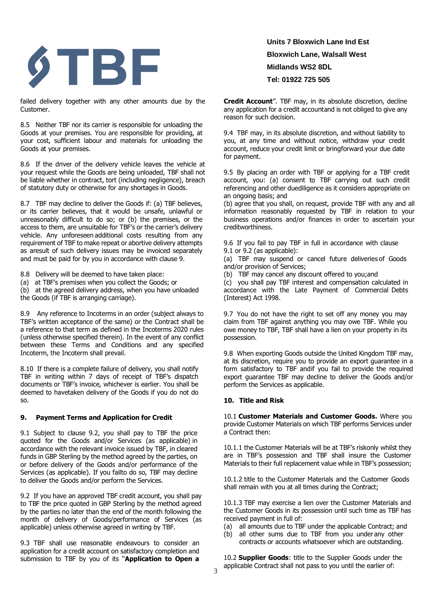

failed delivery together with any other amounts due by the Customer.

8.5 Neither TBF nor its carrier is responsible for unloading the Goods at your premises. You are responsible for providing, at your cost, sufficient labour and materials for unloading the Goods at your premises.

8.6 If the driver of the delivery vehicle leaves the vehicle at your request while the Goods are being unloaded, TBF shall not be liable whether in contract, tort (including negligence), breach of statutory duty or otherwise for any shortages in Goods.

8.7 TBF may decline to deliver the Goods if: (a) TBF believes, or its carrier believes, that it would be unsafe, unlawful or unreasonably difficult to do so; or (b) the premises, or the access to them, are unsuitable for TBF's or the carrier's delivery vehicle. Any unforeseen additional costs resulting from any requirement of TBF to make repeat or abortive delivery attempts as aresult of such delivery issues may be invoiced separately and must be paid for by you in accordance with clause 9.

8.8 Delivery will be deemed to have taken place:

(a) at TBF's premises when you collect the Goods; or

(b) at the agreed delivery address, when you have unloaded the Goods (if TBF is arranging carriage).

8.9 Any reference to Incoterms in an order (subject always to TBF's written acceptance of the same) or the Contract shall be a reference to that term as defined in the Incoterms 2020 rules (unless otherwise specified therein). In the event of any conflict between these Terms and Conditions and any specified Incoterm, the Incoterm shall prevail.

8.10 If there is a complete failure of delivery, you shall notify TBF in writing within 7 days of receipt of TBF's dispatch documents or TBF's invoice, whichever is earlier. You shall be deemed to havetaken delivery of the Goods if you do not do so.

#### **9. Payment Terms and Application for Credit**

9.1 Subject to clause 9.2, you shall pay to TBF the price quoted for the Goods and/or Services (as applicable) in accordance with the relevant invoice issued by TBF, in cleared funds in GBP Sterling by the method agreed by the parties, on or before delivery of the Goods and/or performance of the Services (as applicable). If you failto do so, TBF may decline to deliver the Goods and/or perform the Services.

9.2 If you have an approved TBF credit account, you shall pay to TBF the price quoted in GBP Sterling by the method agreed by the parties no later than the end of the month following the month of delivery of Goods/performance of Services (as applicable) unless otherwise agreed in writing by TBF.

9.3 TBF shall use reasonable endeavours to consider an application for a credit account on satisfactory completion and submission to TBF by you of its "**Application to Open a** 

**Units 7 Bloxwich Lane Ind Est Bloxwich Lane, Walsall West Midlands WS2 8DL Tel: 01922 725 505** 

**Credit Account**". TBF may, in its absolute discretion, decline any application for a credit accountand is not obliged to give any reason for such decision.

9.4 TBF may, in its absolute discretion, and without liability to you, at any time and without notice, withdraw your credit account, reduce your credit limit or bringforward your due date for payment.

9.5 By placing an order with TBF or applying for a TBF credit account, you: (a) consent to TBF carrying out such credit referencing and other due diligence as it considers appropriate on an ongoing basis; and

(b) agree that you shall, on request, provide TBF with any and all information reasonably requested by TBF in relation to your business operations and/or finances in order to ascertain your creditworthiness.

9.6 If you fail to pay TBF in full in accordance with clause 9.1 or 9.2 (as applicable):

(a) TBF may suspend or cancel future deliveries of Goods and/or provision of Services;

(b) TBF may cancel any discount offered to you; and

(c) you shall pay TBF interest and compensation calculated in accordance with the Late Payment of Commercial Debts (Interest) Act 1998.

9.7 You do not have the right to set off any money you may claim from TBF against anything you may owe TBF. While you owe money to TBF, TBF shall have a lien on your property in its possession.

9.8 When exporting Goods outside the United Kingdom TBF may, at its discretion, require you to provide an export guarantee in a form satisfactory to TBF and if you fail to provide the required export guarantee TBF may decline to deliver the Goods and/or perform the Services as applicable.

#### **10. Title and Risk**

10.1 **Customer Materials and Customer Goods.** Where you provide Customer Materials on which TBF performs Services under a Contract then:

10.1.1 the Customer Materials will be at TBF's riskonly whilst they are in TBF's possession and TBF shall insure the Customer Materials to their full replacement value while in TBF's possession;

10.1.2 title to the Customer Materials and the Customer Goods shall remain with you at all times during the Contract;

10.1.3 TBF may exercise a lien over the Customer Materials and the Customer Goods in its possession until such time as TBF has received payment in full of:

- (a) all amounts due to TBF under the applicable Contract; and
- (b) all other sums due to TBF from you under any other contracts or accounts whatsoever which are outstanding.

10.2 **Supplier Goods**: title to the Supplier Goods under the applicable Contract shall not pass to you until the earlier of: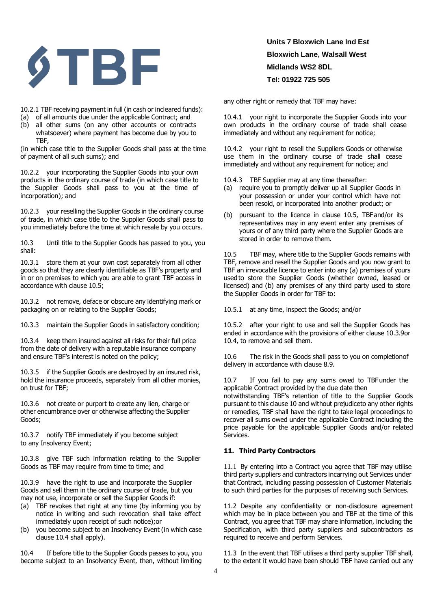

10.2.1 TBF receiving payment in full (in cash or incleared funds):

- (a) of all amounts due under the applicable Contract; and
- (b) all other sums (on any other accounts or contracts whatsoever) where payment has become due by you to TBF,

(in which case title to the Supplier Goods shall pass at the time of payment of all such sums); and

10.2.2 your incorporating the Supplier Goods into your own products in the ordinary course of trade (in which case title to the Supplier Goods shall pass to you at the time of incorporation); and

10.2.3 your reselling the Supplier Goods in the ordinary course of trade, in which case title to the Supplier Goods shall pass to you immediately before the time at which resale by you occurs.

10.3 Until title to the Supplier Goods has passed to you, you shall:

10.3.1 store them at your own cost separately from all other goods so that they are clearly identifiable as TBF's property and in or on premises to which you are able to grant TBF access in accordance with clause 10.5;

10.3.2 not remove, deface or obscure any identifying mark or packaging on or relating to the Supplier Goods;

10.3.3 maintain the Supplier Goods in satisfactory condition;

10.3.4 keep them insured against all risks for their full price from the date of delivery with a reputable insurance company and ensure TBF's interest is noted on the policy;

10.3.5 if the Supplier Goods are destroyed by an insured risk, hold the insurance proceeds, separately from all other monies, on trust for TBF;

10.3.6 not create or purport to create any lien, charge or other encumbrance over or otherwise affecting the Supplier Goods;

10.3.7 notify TBF immediately if you become subject to any Insolvency Event;

10.3.8 give TBF such information relating to the Supplier Goods as TBF may require from time to time; and

10.3.9 have the right to use and incorporate the Supplier Goods and sell them in the ordinary course of trade, but you may not use, incorporate or sell the Supplier Goods if:

- (a) TBF revokes that right at any time (by informing you by notice in writing and such revocation shall take effect immediately upon receipt of such notice); or
- (b) you become subject to an Insolvency Event (in which case clause 10.4 shall apply).

10.4 If before title to the Supplier Goods passes to you, you become subject to an Insolvency Event, then, without limiting

## **Units 7 Bloxwich Lane Ind Est Bloxwich Lane, Walsall West Midlands WS2 8DL Tel: 01922 725 505**

any other right or remedy that TBF may have:

10.4.1 your right to incorporate the Supplier Goods into your own products in the ordinary course of trade shall cease immediately and without any requirement for notice;

10.4.2 your right to resell the Suppliers Goods or otherwise use them in the ordinary course of trade shall cease immediately and without any requirement for notice; and

- 10.4.3 TBF Supplier may at any time thereafter:
- (a) require you to promptly deliver up all Supplier Goods in your possession or under your control which have not been resold, or incorporated into another product; or
- (b) pursuant to the licence in clause 10.5, TBF and/or its representatives may in any event enter any premises of yours or of any third party where the Supplier Goods are stored in order to remove them.

10.5 TBF may, where title to the Supplier Goods remains with TBF, remove and resell the Supplier Goods and you now grant to TBF an irrevocable licence to enter into any (a) premises of yours used to store the Supplier Goods (whether owned, leased or licensed) and (b) any premises of any third party used to store the Supplier Goods in order for TBF to:

10.5.1 at any time, inspect the Goods; and/or

10.5.2 after your right to use and sell the Supplier Goods has ended in accordance with the provisions of either clause 10.3.9 or 10.4, to remove and sell them.

10.6 The risk in the Goods shall pass to you on completion of delivery in accordance with clause 8.9.

10.7 If you fail to pay any sums owed to TBF under the applicable Contract provided by the due date then

notwithstanding TBF's retention of title to the Supplier Goods pursuant to this clause 10 and without prejudice to any other rights or remedies, TBF shall have the right to take legal proceedings to recover all sums owed under the applicable Contract including the price payable for the applicable Supplier Goods and/or related Services.

#### **11. Third Party Contractors**

11.1 By entering into a Contract you agree that TBF may utilise third party suppliers and contractors incarrying out Services under that Contract, including passing possession of Customer Materials to such third parties for the purposes of receiving such Services.

11.2 Despite any confidentiality or non-disclosure agreement which may be in place between you and TBF at the time of this Contract, you agree that TBF may share information, including the Specification, with third party suppliers and subcontractors as required to receive and perform Services.

11.3 In the event that TBF utilises a third party supplier TBF shall, to the extent it would have been should TBF have carried out any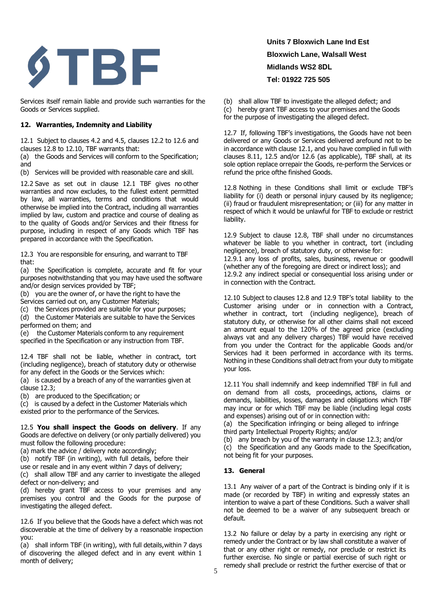

Services itself remain liable and provide such warranties for the Goods or Services supplied.

### **12. Warranties, Indemnity and Liability**

12.1 Subject to clauses 4.2 and 4.5, clauses 12.2 to 12.6 and clauses 12.8 to 12.10, TBF warrants that:

(a) the Goods and Services will conform to the Specification; and

(b) Services will be provided with reasonable care and skill.

12.2 Save as set out in clause 12.1 TBF gives no other warranties and now excludes, to the fullest extent permitted by law, all warranties, terms and conditions that would otherwise be implied into the Contract, including all warranties implied by law, custom and practice and course of dealing as to the quality of Goods and/or Services and their fitness for purpose, including in respect of any Goods which TBF has prepared in accordance with the Specification.

12.3 You are responsible for ensuring, and warrant to TBF that:

(a) the Specification is complete, accurate and fit for your purposes notwithstanding that you may have used the software and/or design services provided by TBF;

- (b) you are the owner of, or have the right to have the
- Services carried out on, any Customer Materials;
- (c) the Services provided are suitable for your purposes;

(d) the Customer Materials are suitable to have the Services performed on them; and

(e) the Customer Materials conform to any requirement specified in the Specification or any instruction from TBF.

12.4 TBF shall not be liable, whether in contract, tort (including negligence), breach of statutory duty or otherwise for any defect in the Goods or the Services which:

(a) is caused by a breach of any of the warranties given at clause 12.3;

(b) are produced to the Specification; or

(c) is caused by a defect in the Customer Materials which existed prior to the performance of the Services.

12.5 **You shall inspect the Goods on delivery**. If any Goods are defective on delivery (or only partially delivered) you must follow the following procedure:

(a) mark the advice / delivery note accordingly;

(b) notify TBF (in writing), with full details, before their

use or resale and in any event within 7 days of delivery;

(c) shall allow TBF and any carrier to investigate the alleged defect or non-delivery; and

(d) hereby grant TBF access to your premises and any premises you control and the Goods for the purpose of investigating the alleged defect.

12.6 If you believe that the Goods have a defect which was not discoverable at the time of delivery by a reasonable inspection you:

(a) shall inform TBF (in writing), with full details, within 7 days of discovering the alleged defect and in any event within 1 month of delivery;

# **Units 7 Bloxwich Lane Ind Est Bloxwich Lane, Walsall West Midlands WS2 8DL Tel: 01922 725 505**

(b) shall allow TBF to investigate the alleged defect; and (c) hereby grant TBF access to your premises and the Goods for the purpose of investigating the alleged defect.

12.7 If, following TBF's investigations, the Goods have not been delivered or any Goods or Services delivered arefound not to be in accordance with clause 12.1, and you have complied in full with clauses 8.11, 12.5 and/or 12.6 (as applicable), TBF shall, at its sole option replace or repair the Goods, re-perform the Services or refund the price of the finished Goods.

12.8 Nothing in these Conditions shall limit or exclude TBF's liability for (i) death or personal injury caused by its negligence; (ii) fraud or fraudulent misrepresentation; or (iii) for any matter in respect of which it would be unlawful for TBF to exclude or restrict liability.

12.9 Subject to clause 12.8, TBF shall under no circumstances whatever be liable to you whether in contract, tort (including negligence), breach of statutory duty, or otherwise for: 12.9.1 any loss of profits, sales, business, revenue or goodwill (whether any of the foregoing are direct or indirect loss); and 12.9.2 any indirect special or consequential loss arising under or in connection with the Contract.

12.10 Subject to clauses 12.8 and 12.9 TBF's total liability to the Customer arising under or in connection with a Contract, whether in contract, tort (including negligence), breach of statutory duty, or otherwise for all other claims shall not exceed an amount equal to the 120% of the agreed price (excluding always vat and any delivery charges) TBF would have received from you under the Contract for the applicable Goods and/or Services had it been performed in accordance with its terms. Nothing in these Conditions shall detract from your duty to mitigate your loss.

12.11 You shall indemnify and keep indemnified TBF in full and on demand from all costs, proceedings, actions, claims or demands, liabilities, losses, damages and obligations which TBF may incur or for which TBF may be liable (including legal costs and expenses) arising out of or in connection with:

(a) the Specification infringing or being alleged to infringe third party Intellectual Property Rights; and/or

(b) any breach by you of the warranty in clause 12.3; and/or

(c) the Specification and any Goods made to the Specification, not being fit for your purposes.

### **13. General**

13.1 Any waiver of a part of the Contract is binding only if it is made (or recorded by TBF) in writing and expressly states an intention to waive a part of these Conditions. Such a waiver shall not be deemed to be a waiver of any subsequent breach or default.

13.2 No failure or delay by a party in exercising any right or remedy under the Contract or by law shall constitute a waiver of that or any other right or remedy, nor preclude or restrict its further exercise. No single or partial exercise of such right or remedy shall preclude or restrict the further exercise of that or